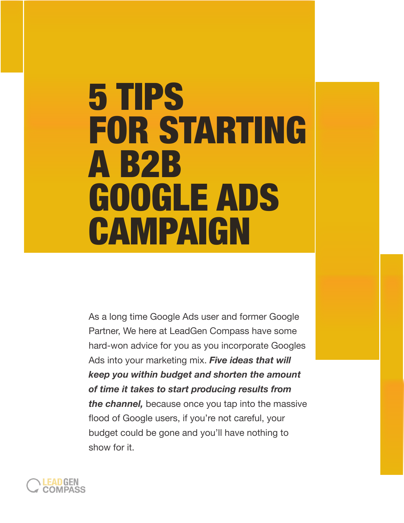# 5 TIPS FOR STARTING A B2B GOOGLE ADS **CAMPAIGN**

As a long time Google Ads user and former Google Partner, We here at LeadGen Compass have some hard-won advice for you as you incorporate Googles Ads into your marketing mix. *Five ideas that will keep you within budget and shorten the amount of time it takes to start producing results from the channel,* because once you tap into the massive flood of Google users, if you're not careful, your budget could be gone and you'll have nothing to show for it.

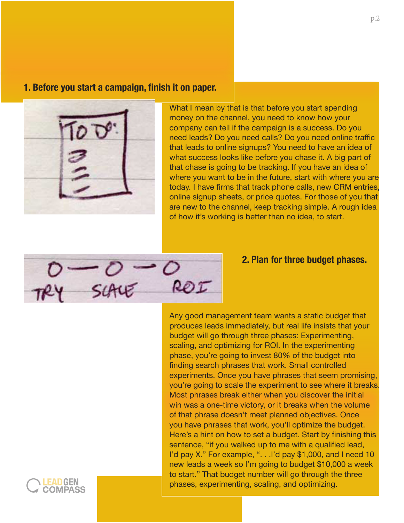#### **1. Before you start a campaign, finish it on paper.**



What I mean by that is that before you start spending money on the channel, you need to know how your company can tell if the campaign is a success. Do you need leads? Do you need calls? Do you need online traffic that leads to online signups? You need to have an idea of what success looks like before you chase it. A big part of that chase is going to be tracking. If you have an idea of where you want to be in the future, start with where you are today. I have firms that track phone calls, new CRM entries, online signup sheets, or price quotes. For those of you that are new to the channel, keep tracking simple. A rough idea of how it's working is better than no idea, to start.



#### **2. Plan for three budget phases.**

Any good management team wants a static budget that produces leads immediately, but real life insists that your budget will go through three phases: Experimenting, scaling, and optimizing for ROI. In the experimenting phase, you're going to invest 80% of the budget into finding search phrases that work. Small controlled experiments. Once you have phrases that seem promising, you're going to scale the experiment to see where it breaks. Most phrases break either when you discover the initial win was a one-time victory, or it breaks when the volume of that phrase doesn't meet planned objectives. Once you have phrases that work, you'll optimize the budget. Here's a hint on how to set a budget. Start by finishing this sentence, "if you walked up to me with a qualified lead, I'd pay X." For example, ". . .I'd pay \$1,000, and I need 10 new leads a week so I'm going to budget \$10,000 a week to start." That budget number will go through the three phases, experimenting, scaling, and optimizing.

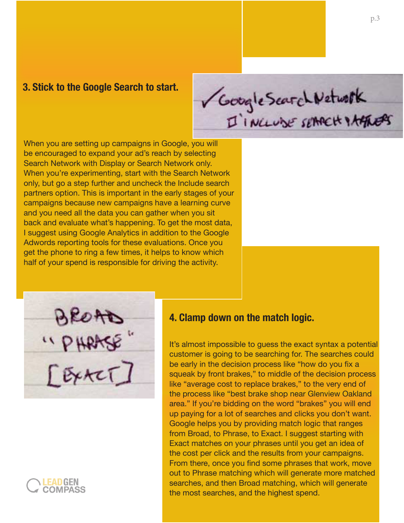## **3. Stick to the Google Search to start.**

Google Scarch Network

When you are setting up campaigns in Google, you will be encouraged to expand your ad's reach by selecting Search Network with Display or Search Network only. When you're experimenting, start with the Search Network only, but go a step further and uncheck the Include search partners option. This is important in the early stages of your campaigns because new campaigns have a learning curve and you need all the data you can gather when you sit back and evaluate what's happening. To get the most data, I suggest using Google Analytics in addition to the Google Adwords reporting tools for these evaluations. Once you get the phone to ring a few times, it helps to know which half of your spend is responsible for driving the activity.

"PHAASE



### **4. Clamp down on the match logic.**

It's almost impossible to guess the exact syntax a potential customer is going to be searching for. The searches could be early in the decision process like "how do you fix a squeak by front brakes," to middle of the decision process like "average cost to replace brakes," to the very end of the process like "best brake shop near Glenview Oakland area." If you're bidding on the word "brakes" you will end up paying for a lot of searches and clicks you don't want. Google helps you by providing match logic that ranges from Broad, to Phrase, to Exact. I suggest starting with Exact matches on your phrases until you get an idea of the cost per click and the results from your campaigns. From there, once you find some phrases that work, move out to Phrase matching which will generate more matched searches, and then Broad matching, which will generate the most searches, and the highest spend.